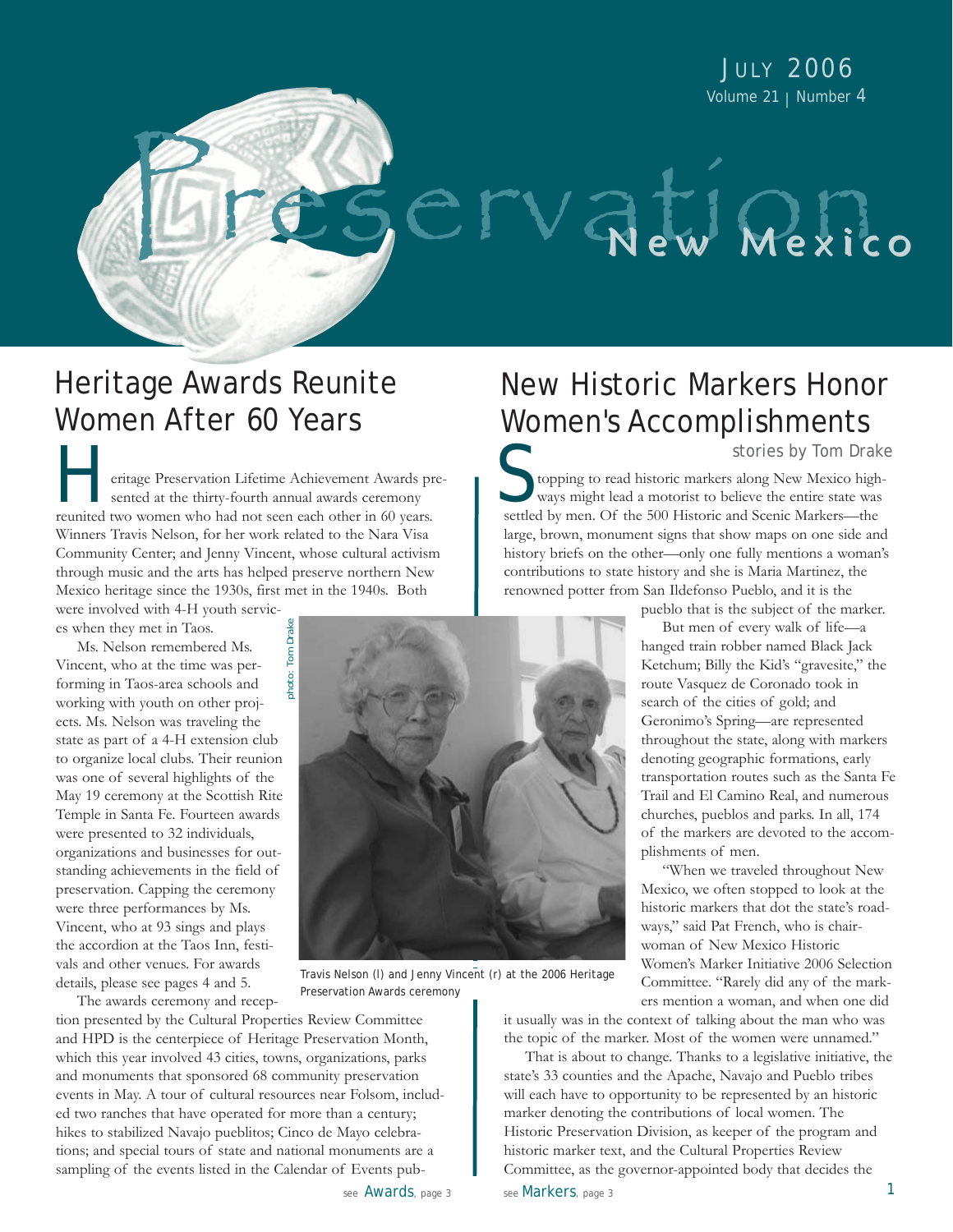JULY 2006 Volume 21 | Number 4

# Heritage Awards Reunite Women After 60 Years

eritage Preservation Lifetime Achievement Awards presented at the thirty-fourth annual awards ceremony reunited two women who had not seen each other in 60 years. Winners Travis Nelson, for her work related to the Nara Visa Community Center; and Jenny Vincent, whose cultural activism through music and the arts has helped preserve northern New Mexico heritage since the 1930s, first met in the 1940s. Both were involved with 4-H youth servic-**Heritage Preservation Lifetime Achievement Awards presented at the thirty-fourth annual awards ceremony** 

es when they met in Taos.

Ms. Nelson remembered Ms. Vincent, who at the time was performing in Taos-area schools and working with youth on other projects. Ms. Nelson was traveling the state as part of a 4-H extension club to organize local clubs. Their reunion was one of several highlights of the May 19 ceremony at the Scottish Rite Temple in Santa Fe. Fourteen awards were presented to 32 individuals, organizations and businesses for outstanding achievements in the field of preservation. Capping the ceremony were three performances by Ms. Vincent, who at 93 sings and plays the accordion at the Taos Inn, festivals and other venues. For awards details, please see pages 4 and 5.

The awards ceremony and recep-

tion presented by the Cultural Properties Review Committee and HPD is the centerpiece of Heritage Preservation Month, which this year involved 43 cities, towns, organizations, parks and monuments that sponsored 68 community preservation events in May. A tour of cultural resources near Folsom, included two ranches that have operated for more than a century; hikes to stabilized Navajo pueblitos; Cinco de Mayo celebrations; and special tours of state and national monuments are a sampling of the events listed in the Calendar of Events pub-

# New Historic Markers Honor Women's Accomplishments stories by Tom Drake

SErvation Nexico

topping to read historic markers along New Mexico highways might lead a motorist to believe the entire state was settled by men. Of the 500 Historic and Scenic Markers—the large, brown, monument signs that show maps on one side and history briefs on the other—only one fully mentions a woman's contributions to state history and she is Maria Martinez, the renowned potter from San Ildefonso Pueblo, and it is the

pueblo that is the subject of the marker.

But men of every walk of life—a hanged train robber named Black Jack Ketchum; Billy the Kid's "gravesite," the route Vasquez de Coronado took in search of the cities of gold; and Geronimo's Spring—are represented throughout the state, along with markers denoting geographic formations, early transportation routes such as the Santa Fe Trail and El Camino Real, and numerous churches, pueblos and parks. In all, 174 of the markers are devoted to the accomplishments of men.

"When we traveled throughout New Mexico, we often stopped to look at the historic markers that dot the state's roadways," said Pat French, who is chairwoman of New Mexico Historic Women's Marker Initiative 2006 Selection Committee. "Rarely did any of the markers mention a woman, and when one did

it usually was in the context of talking about the man who was the topic of the marker. Most of the women were unnamed."

That is about to change. Thanks to a legislative initiative, the state's 33 counties and the Apache, Navajo and Pueblo tribes will each have to opportunity to be represented by an historic marker denoting the contributions of local women. The Historic Preservation Division, as keeper of the program and historic marker text, and the Cultural Properties Review Committee, as the governor-appointed body that decides the

Preservation Awards ceremony



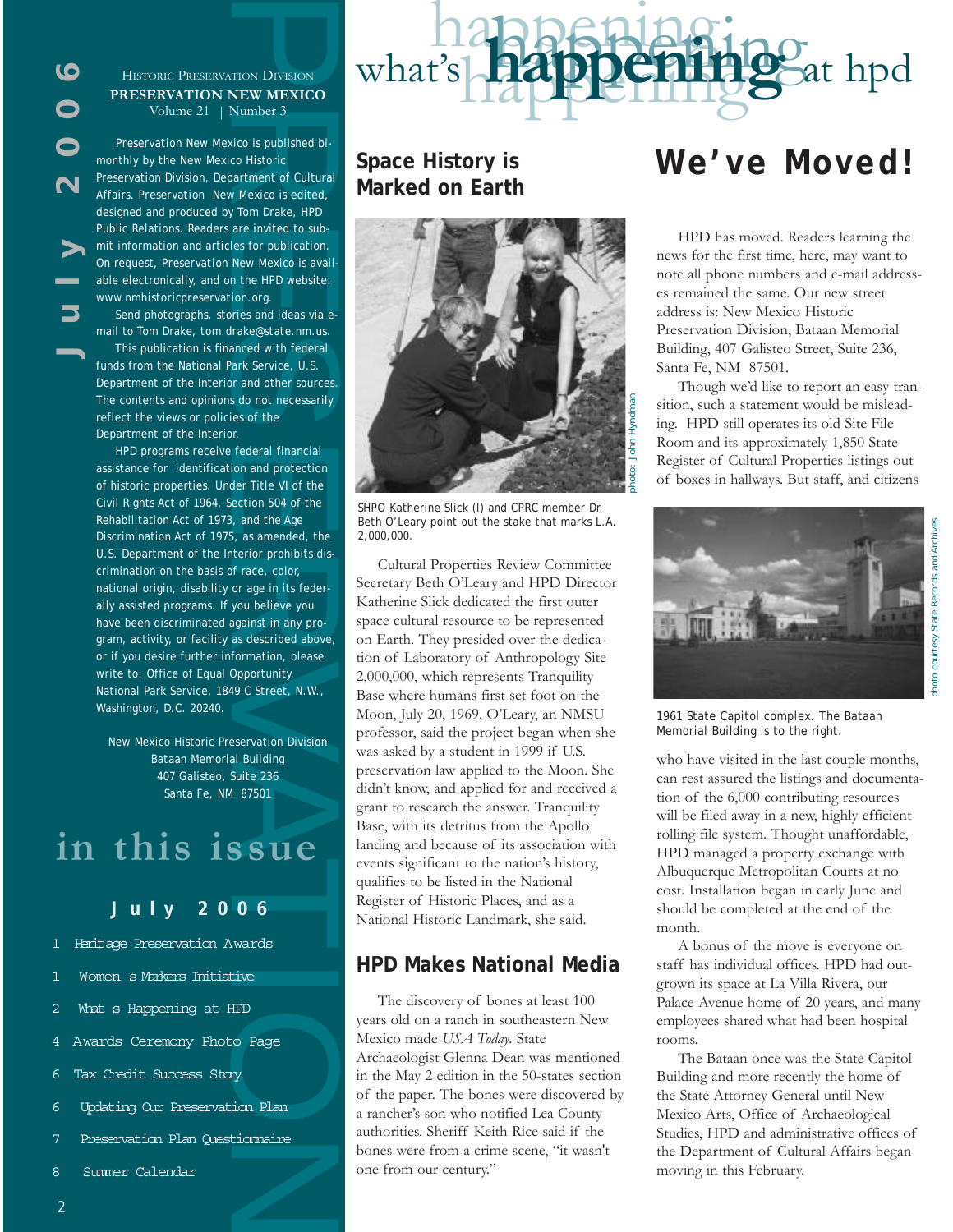

#### HISTORIC PRESERVATION DIVISION **PRESERVATION NEW MEXICO** Volume 21 | Number 3

*Preservation New Mexico* is published bimonthly by the New Mexico Historic Preservation Division, Department of Cultural Affairs. *Preservation New Mexico* is edited, designed and produced by Tom Drake, HPD Public Relations. Readers are invited to submit information and articles for publication. On request, *Preservation New Mexico* is available electronically, and on the HPD website: *www.nmhistoricpreservation.org*.

Send photographs, stories and ideas via email to Tom Drake, *tom.drake@state.nm.us*.

This publication is financed with federal funds from the National Park Service, U.S. Department of the Interior and other sources. The contents and opinions do not necessarily reflect the views or policies of the Department of the Interior.

Histopic Peasenwarrow Divisions<br> **PRESERVATION NEW MEXICO**<br> **PRESERVATION NEW MEXICO**<br> **PRESERVATION NEW MEXICO**<br> **PRESERVATION NEW MEXICO**<br> **PRESERVATION** (**D**) Note 12 | Number 3<br> **Preservation** New Mexico is published b HPD programs receive federal financial assistance for identification and protection of historic properties. Under Title VI of the Civil Rights Act of 1964, Section 504 of the Rehabilitation Act of 1973, and the Age Discrimination Act of 1975, as amended, the U.S. Department of the Interior prohibits discrimination on the basis of race, color, national origin, disability or age in its federally assisted programs. If you believe you have been discriminated against in any program, activity, or facility as described above, or if you desire further information, please write to: Office of Equal Opportunity, National Park Service, 1849 C Street, N.W., Washington, D.C. 20240.

New Mexico Historic Preservation Division Bataan Memorial Building 407 Galisteo, Suite 236 Santa Fe, NM 87501

# **in this issue**

## $J$ uly 2006

- 1 Heritage Preservation Awards
- Women s Markers Initiative
- What s Happening at HPD
- 4 Awards Ceremony Photo Page
- 6 Tax Credit Success Story
- 6 Updating Our Preservation Plan
- 7 Preservation Plan Questionnaire
- 8 Summer Calendar

# **Space History is Marked on Earth**



happenin

happenings

what's **happening** at hpd

SHPO Katherine Slick (l) and CPRC member Dr. Beth O'Leary point out the stake that marks L.A. 2,000,000.

Cultural Properties Review Committee Secretary Beth O'Leary and HPD Director Katherine Slick dedicated the first outer space cultural resource to be represented on Earth. They presided over the dedication of Laboratory of Anthropology Site 2,000,000, which represents Tranquility Base where humans first set foot on the Moon, July 20, 1969. O'Leary, an NMSU professor, said the project began when she was asked by a student in 1999 if U.S. preservation law applied to the Moon. She didn't know, and applied for and received a grant to research the answer. Tranquility Base, with its detritus from the Apollo landing and because of its association with events significant to the nation's history, qualifies to be listed in the National Register of Historic Places, and as a National Historic Landmark, she said.

# **HPD Makes National Media**

The discovery of bones at least 100 years old on a ranch in southeastern New Mexico made *USA Today*. State Archaeologist Glenna Dean was mentioned in the May 2 edition in the 50-states section of the paper. The bones were discovered by a rancher's son who notified Lea County authorities. Sheriff Keith Rice said if the bones were from a crime scene, "it wasn't one from our century."

# **We've Moved!**

HPD has moved. Readers learning the news for the first time, here, may want to note all phone numbers and e-mail addresses remained the same. Our new street address is: New Mexico Historic Preservation Division, Bataan Memorial Building, 407 Galisteo Street, Suite 236, Santa Fe, NM 87501.

Though we'd like to report an easy transition, such a statement would be misleading. HPD still operates its old Site File Room and its approximately 1,850 State Register of Cultural Properties listings out of boxes in hallways. But staff, and citizens



1961 State Capitol complex. The Bataan Memorial Building is to the right.

who have visited in the last couple months, can rest assured the listings and documentation of the 6,000 contributing resources will be filed away in a new, highly efficient rolling file system. Thought unaffordable, HPD managed a property exchange with Albuquerque Metropolitan Courts at no cost. Installation began in early June and should be completed at the end of the month.

A bonus of the move is everyone on staff has individual offices. HPD had outgrown its space at La Villa Rivera, our Palace Avenue home of 20 years, and many employees shared what had been hospital rooms.

The Bataan once was the State Capitol Building and more recently the home of the State Attorney General until New Mexico Arts, Office of Archaeological Studies, HPD and administrative offices of the Department of Cultural Affairs began moving in this February.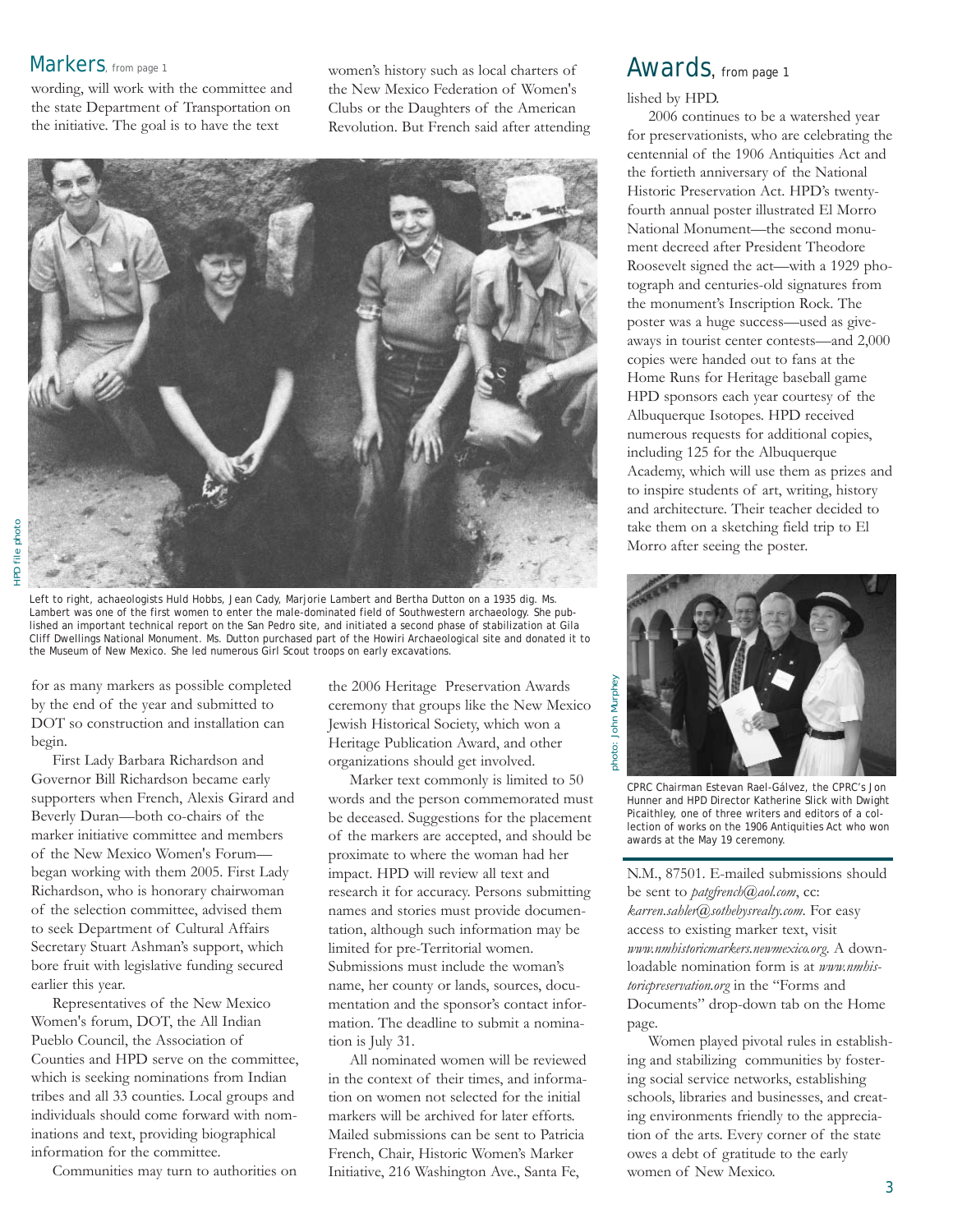## Markers, from page 1

wording, will work with the committee and the state Department of Transportation on the initiative. The goal is to have the text

women's history such as local charters of the New Mexico Federation of Women's Clubs or the Daughters of the American Revolution. But French said after attending



Left to right, achaeologists Huld Hobbs, Jean Cady, Marjorie Lambert and Bertha Dutton on a 1935 dig. Ms. Lambert was one of the first women to enter the male-dominated field of Southwestern archaeology. She published an important technical report on the San Pedro site, and initiated a second phase of stabilization at Gila Cliff Dwellings National Monument. Ms. Dutton purchased part of the Howiri Archaeological site and donated it to the Museum of New Mexico. She led numerous Girl Scout troops on early excavations.

for as many markers as possible completed by the end of the year and submitted to DOT so construction and installation can begin.

First Lady Barbara Richardson and Governor Bill Richardson became early supporters when French, Alexis Girard and Beverly Duran—both co-chairs of the marker initiative committee and members of the New Mexico Women's Forum began working with them 2005. First Lady Richardson, who is honorary chairwoman of the selection committee, advised them to seek Department of Cultural Affairs Secretary Stuart Ashman's support, which bore fruit with legislative funding secured earlier this year.

Representatives of the New Mexico Women's forum, DOT, the All Indian Pueblo Council, the Association of Counties and HPD serve on the committee, which is seeking nominations from Indian tribes and all 33 counties. Local groups and individuals should come forward with nominations and text, providing biographical information for the committee.

Communities may turn to authorities on

the 2006 Heritage Preservation Awards ceremony that groups like the New Mexico Jewish Historical Society, which won a Heritage Publication Award, and other organizations should get involved.

Marker text commonly is limited to 50 words and the person commemorated must be deceased. Suggestions for the placement of the markers are accepted, and should be proximate to where the woman had her impact. HPD will review all text and research it for accuracy. Persons submitting names and stories must provide documentation, although such information may be limited for pre-Territorial women. Submissions must include the woman's name, her county or lands, sources, documentation and the sponsor's contact information. The deadline to submit a nomination is July 31.

All nominated women will be reviewed in the context of their times, and information on women not selected for the initial markers will be archived for later efforts. Mailed submissions can be sent to Patricia French, Chair, Historic Women's Marker Initiative, 216 Washington Ave., Santa Fe,

# Awards, from page 1

lished by HPD.

2006 continues to be a watershed year for preservationists, who are celebrating the centennial of the 1906 Antiquities Act and the fortieth anniversary of the National Historic Preservation Act. HPD's twentyfourth annual poster illustrated El Morro National Monument—the second monument decreed after President Theodore Roosevelt signed the act—with a 1929 photograph and centuries-old signatures from the monument's Inscription Rock. The poster was a huge success—used as giveaways in tourist center contests—and 2,000 copies were handed out to fans at the Home Runs for Heritage baseball game HPD sponsors each year courtesy of the Albuquerque Isotopes. HPD received numerous requests for additional copies, including 125 for the Albuquerque Academy, which will use them as prizes and to inspire students of art, writing, history and architecture. Their teacher decided to take them on a sketching field trip to El Morro after seeing the poster.



CPRC Chairman Estevan Rael-Gálvez, the CPRC's Jon Hunner and HPD Director Katherine Slick with Dwight Picaithley, one of three writers and editors of a collection of works on the 1906 Antiquities Act who won awards at the May 19 ceremony.

N.M., 87501. E-mailed submissions should be sent to *patgfrench@aol.com*, cc: *karren.sahler@sothebysrealty.com*. For easy access to existing marker text, visit *www.nmhistoricmarkers.newmexico.org*. A downloadable nomination form is at *www.nmhistoricpreservation.org* in the "Forms and Documents" drop-down tab on the Home page.

Women played pivotal rules in establishing and stabilizing communities by fostering social service networks, establishing schools, libraries and businesses, and creating environments friendly to the appreciation of the arts. Every corner of the state owes a debt of gratitude to the early women of New Mexico.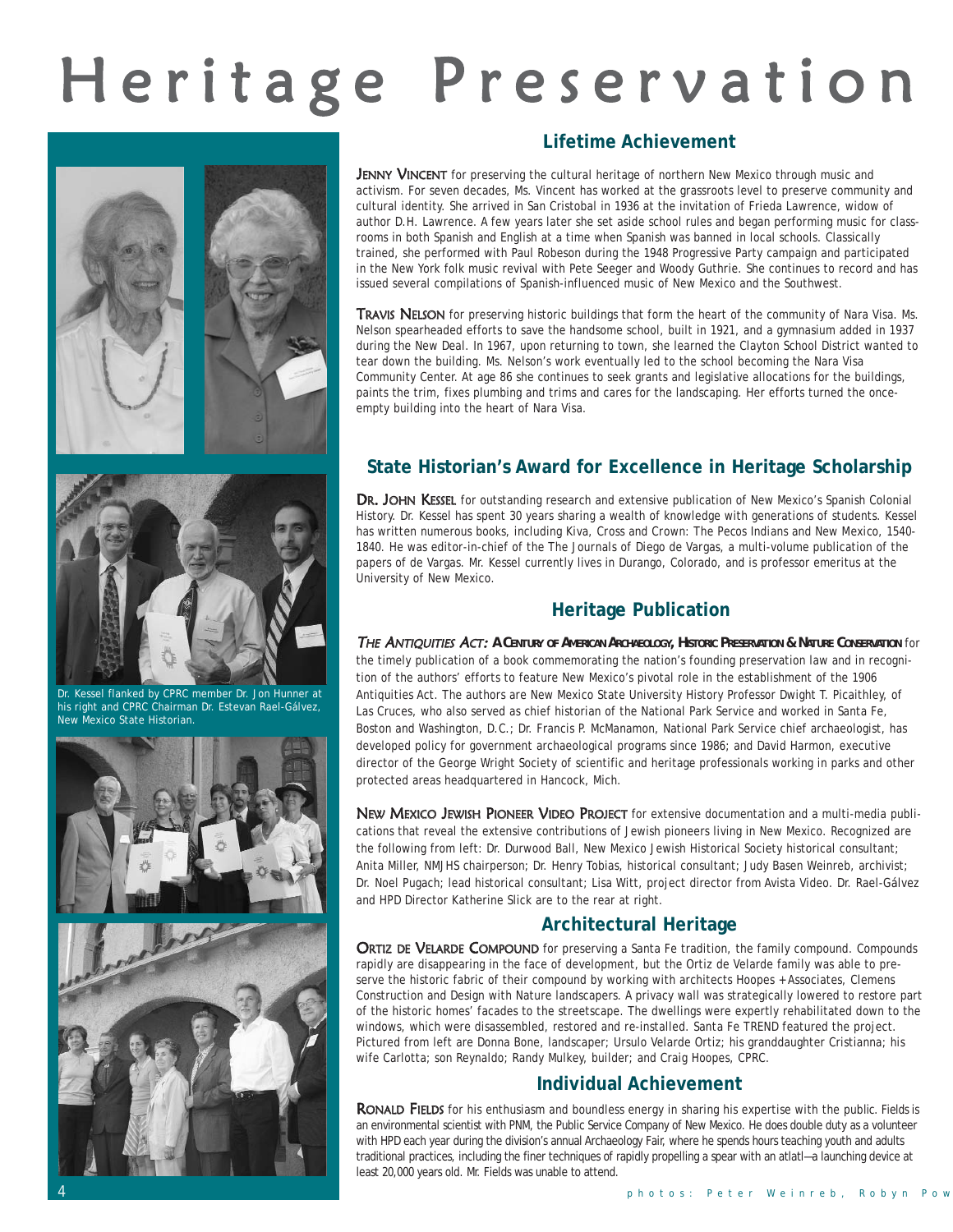# Heritage Preservation





# **Lifetime Achievement**

JENNY VINCENT for preserving the cultural heritage of northern New Mexico through music and activism. For seven decades, Ms. Vincent has worked at the grassroots level to preserve community and cultural identity. She arrived in San Cristobal in 1936 at the invitation of Frieda Lawrence, widow of author D.H. Lawrence. A few years later she set aside school rules and began performing music for classrooms in both Spanish and English at a time when Spanish was banned in local schools. Classically trained, she performed with Paul Robeson during the 1948 Progressive Party campaign and participated in the New York folk music revival with Pete Seeger and Woody Guthrie. She continues to record and has issued several compilations of Spanish-influenced music of New Mexico and the Southwest.

TRAVIS NELSON for preserving historic buildings that form the heart of the community of Nara Visa. Ms. Nelson spearheaded efforts to save the handsome school, built in 1921, and a gymnasium added in 1937 during the New Deal. In 1967, upon returning to town, she learned the Clayton School District wanted to tear down the building. Ms. Nelson's work eventually led to the school becoming the Nara Visa Community Center. At age 86 she continues to seek grants and legislative allocations for the buildings, paints the trim, fixes plumbing and trims and cares for the landscaping. Her efforts turned the onceempty building into the heart of Nara Visa.

# **State Historian's Award for Excellence in Heritage Scholarship**

DR. JOHN KESSEL for outstanding research and extensive publication of New Mexico's Spanish Colonial History. Dr. Kessel has spent 30 years sharing a wealth of knowledge with generations of students. Kessel has written numerous books, including *Kiva, Cross and Crown: The Pecos Indians and New Mexico, 1540- 1840*. He was editor-in-chief of the *The Journals of Diego de Vargas*, a multi-volume publication of the papers of de Vargas. Mr. Kessel currently lives in Durango, Colorado, and is professor emeritus at the University of New Mexico.

# **Heritage Publication**

THE ANTIQUITIES ACT: *A CENTURY OF AMERICAN ARCHAEOLOGY, HISTORIC PRESERVATION & NATURE CONSERVATION* for the timely publication of a book commemorating the nation's founding preservation law and in recognition of the authors' efforts to feature New Mexico's pivotal role in the establishment of the 1906 Antiquities Act. The authors are New Mexico State University History Professor Dwight T. Picaithley, of Las Cruces, who also served as chief historian of the National Park Service and worked in Santa Fe, Boston and Washington, D.C.; Dr. Francis P. McManamon, National Park Service chief archaeologist, has developed policy for government archaeological programs since 1986; and David Harmon, executive director of the George Wright Society of scientific and heritage professionals working in parks and other protected areas headquartered in Hancock, Mich.

NEW MEXICO JEWISH PIONEER VIDEO PROJECT for extensive documentation and a multi-media publications that reveal the extensive contributions of Jewish pioneers living in New Mexico. Recognized are the following from left: Dr. Durwood Ball, New Mexico Jewish Historical Society historical consultant; Anita Miller, NMJHS chairperson; Dr. Henry Tobias, historical consultant; Judy Basen Weinreb, archivist; Dr. Noel Pugach; lead historical consultant; Lisa Witt, project director from Avista Video. Dr. Rael-Gálvez and HPD Director Katherine Slick are to the rear at right.

# **Architectural Heritage**

ORTIZ DE VELARDE COMPOUND for preserving a Santa Fe tradition, the family compound. Compounds rapidly are disappearing in the face of development, but the Ortiz de Velarde family was able to preserve the historic fabric of their compound by working with architects Hoopes + Associates, Clemens Construction and Design with Nature landscapers. A privacy wall was strategically lowered to restore part of the historic homes' facades to the streetscape. The dwellings were expertly rehabilitated down to the windows, which were disassembled, restored and re-installed. *Santa Fe TREND* featured the project. Pictured from left are Donna Bone, landscaper; Ursulo Velarde Ortiz; his granddaughter Cristianna; his wife Carlotta; son Reynaldo; Randy Mulkey, builder; and Craig Hoopes, CPRC.

## **Individual Achievement**

RONALD FIELDS for his enthusiasm and boundless energy in sharing his expertise with the public. Fields is an environmental scientist with PNM, the Public Service Company of New Mexico. He does double duty as a volunteer with HPD each year during the division's annual Archaeology Fair, where he spends hours teaching youth and adults traditional practices, including the finer techniques of rapidly propelling a spear with an atlatl—a launching device at least 20,000 years old. Mr. Fields was unable to attend.



Dr. Kessel flanked by CPRC member Dr. Jon Hunner at his right and CPRC Chairman Dr. Estevan Rael-Gálvez, New Mexico State Historian.



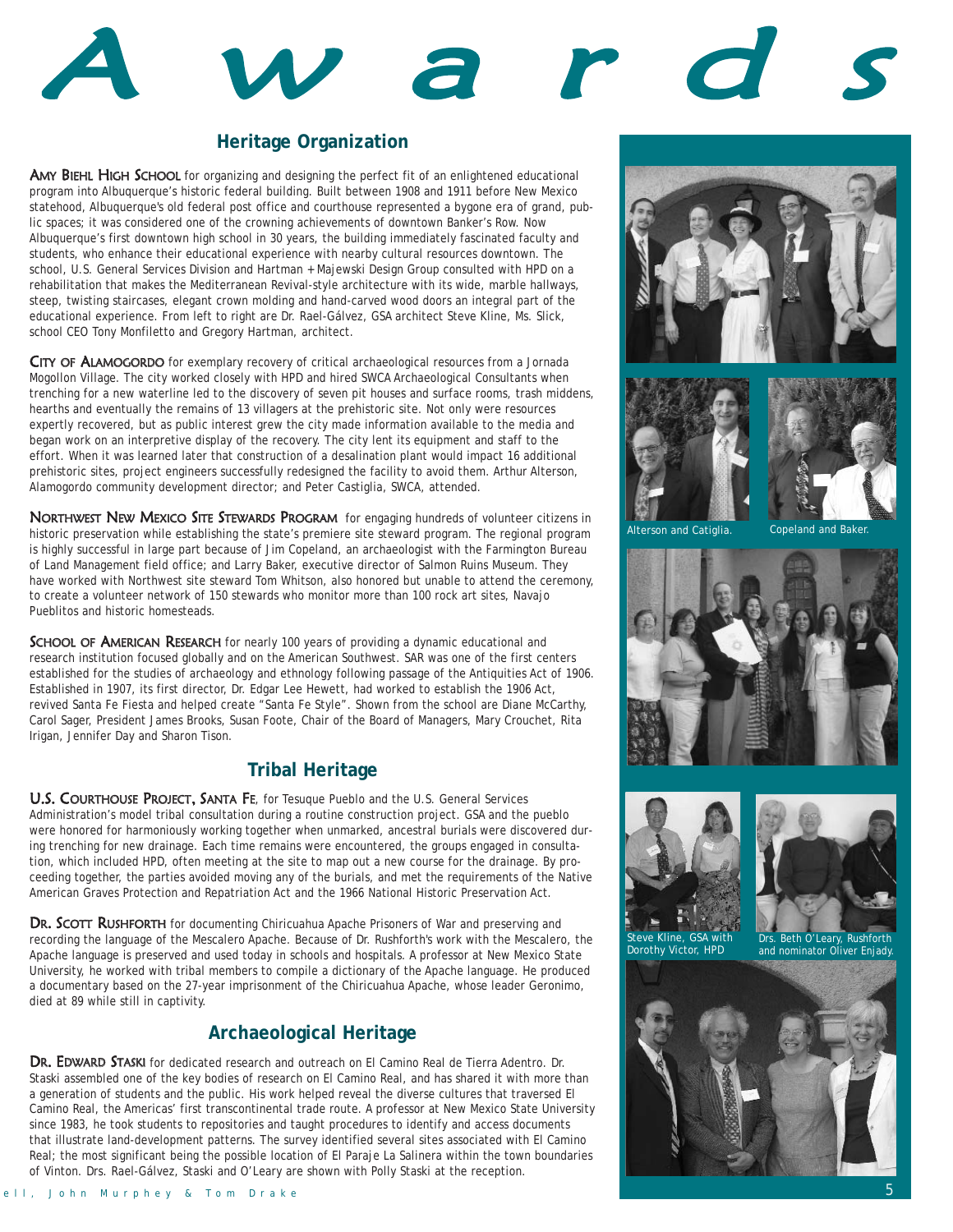# A <sup>w</sup> <sup>a</sup> <sup>r</sup> d <sup>s</sup>

## **Heritage Organization**

AMY BIEHL HIGH SCHOOL for organizing and designing the perfect fit of an enlightened educational program into Albuquerque's historic federal building. Built between 1908 and 1911 before New Mexico statehood, Albuquerque's old federal post office and courthouse represented a bygone era of grand, public spaces; it was considered one of the crowning achievements of downtown Banker's Row. Now Albuquerque's first downtown high school in 30 years, the building immediately fascinated faculty and students, who enhance their educational experience with nearby cultural resources downtown. The school, U.S. General Services Division and Hartman + Majewski Design Group consulted with HPD on a rehabilitation that makes the Mediterranean Revival-style architecture with its wide, marble hallways, steep, twisting staircases, elegant crown molding and hand-carved wood doors an integral part of the educational experience. From left to right are Dr. Rael-Gálvez, GSA architect Steve Kline, Ms. Slick, school CEO Tony Monfiletto and Gregory Hartman, architect.

CITY OF ALAMOGORDO for exemplary recovery of critical archaeological resources from a Jornada Mogollon Village. The city worked closely with HPD and hired SWCA Archaeological Consultants when trenching for a new waterline led to the discovery of seven pit houses and surface rooms, trash middens, hearths and eventually the remains of 13 villagers at the prehistoric site. Not only were resources expertly recovered, but as public interest grew the city made information available to the media and began work on an interpretive display of the recovery. The city lent its equipment and staff to the effort. When it was learned later that construction of a desalination plant would impact 16 additional prehistoric sites, project engineers successfully redesigned the facility to avoid them. Arthur Alterson, Alamogordo community development director; and Peter Castiglia, SWCA, attended.

NORTHWEST NEW MEXICO SITE STEWARDS PROGRAM for engaging hundreds of volunteer citizens in historic preservation while establishing the state's premiere site steward program. The regional program is highly successful in large part because of Jim Copeland, an archaeologist with the Farmington Bureau of Land Management field office; and Larry Baker, executive director of Salmon Ruins Museum. They have worked with Northwest site steward Tom Whitson, also honored but unable to attend the ceremony, to create a volunteer network of 150 stewards who monitor more than 100 rock art sites, Navajo Pueblitos and historic homesteads.

SCHOOL OF AMERICAN RESEARCH for nearly 100 years of providing a dynamic educational and research institution focused globally and on the American Southwest. SAR was one of the first centers established for the studies of archaeology and ethnology following passage of the Antiquities Act of 1906. Established in 1907, its first director, Dr. Edgar Lee Hewett, had worked to establish the 1906 Act, revived Santa Fe Fiesta and helped create "Santa Fe Style". Shown from the school are Diane McCarthy, Carol Sager, President James Brooks, Susan Foote, Chair of the Board of Managers, Mary Crouchet, Rita Irigan, Jennifer Day and Sharon Tison.

## **Tribal Heritage**

U.S. COURTHOUSE PROJECT, SANTA FE, for Tesuque Pueblo and the U.S. General Services Administration's model tribal consultation during a routine construction project. GSA and the pueblo were honored for harmoniously working together when unmarked, ancestral burials were discovered during trenching for new drainage. Each time remains were encountered, the groups engaged in consultation, which included HPD, often meeting at the site to map out a new course for the drainage. By proceeding together, the parties avoided moving any of the burials, and met the requirements of the Native American Graves Protection and Repatriation Act and the 1966 National Historic Preservation Act.

DR. SCOTT RUSHFORTH for documenting Chiricuahua Apache Prisoners of War and preserving and recording the language of the Mescalero Apache. Because of Dr. Rushforth's work with the Mescalero, the Apache language is preserved and used today in schools and hospitals. A professor at New Mexico State University, he worked with tribal members to compile a dictionary of the Apache language. He produced a documentary based on the 27-year imprisonment of the Chiricuahua Apache, whose leader Geronimo, died at 89 while still in captivity.

## **Archaeological Heritage**

DR. EDWARD STASKI for dedicated research and outreach on El Camino Real de Tierra Adentro. Dr. Staski assembled one of the key bodies of research on El Camino Real, and has shared it with more than a generation of students and the public. His work helped reveal the diverse cultures that traversed El Camino Real, the Americas' first transcontinental trade route. A professor at New Mexico State University since 1983, he took students to repositories and taught procedures to identify and access documents that illustrate land-development patterns. The survey identified several sites associated with El Camino Real; the most significant being the possible location of El Paraje La Salinera within the town boundaries of Vinton. Drs. Rael-Gálvez, Staski and O'Leary are shown with Polly Staski at the reception.







Alterson and Catiglia. Copeland







Steve Kline, GSA with Dorothy Victor, HPD

Drs. Beth O'Leary, Rushforth and nominator Oliver Enjady.

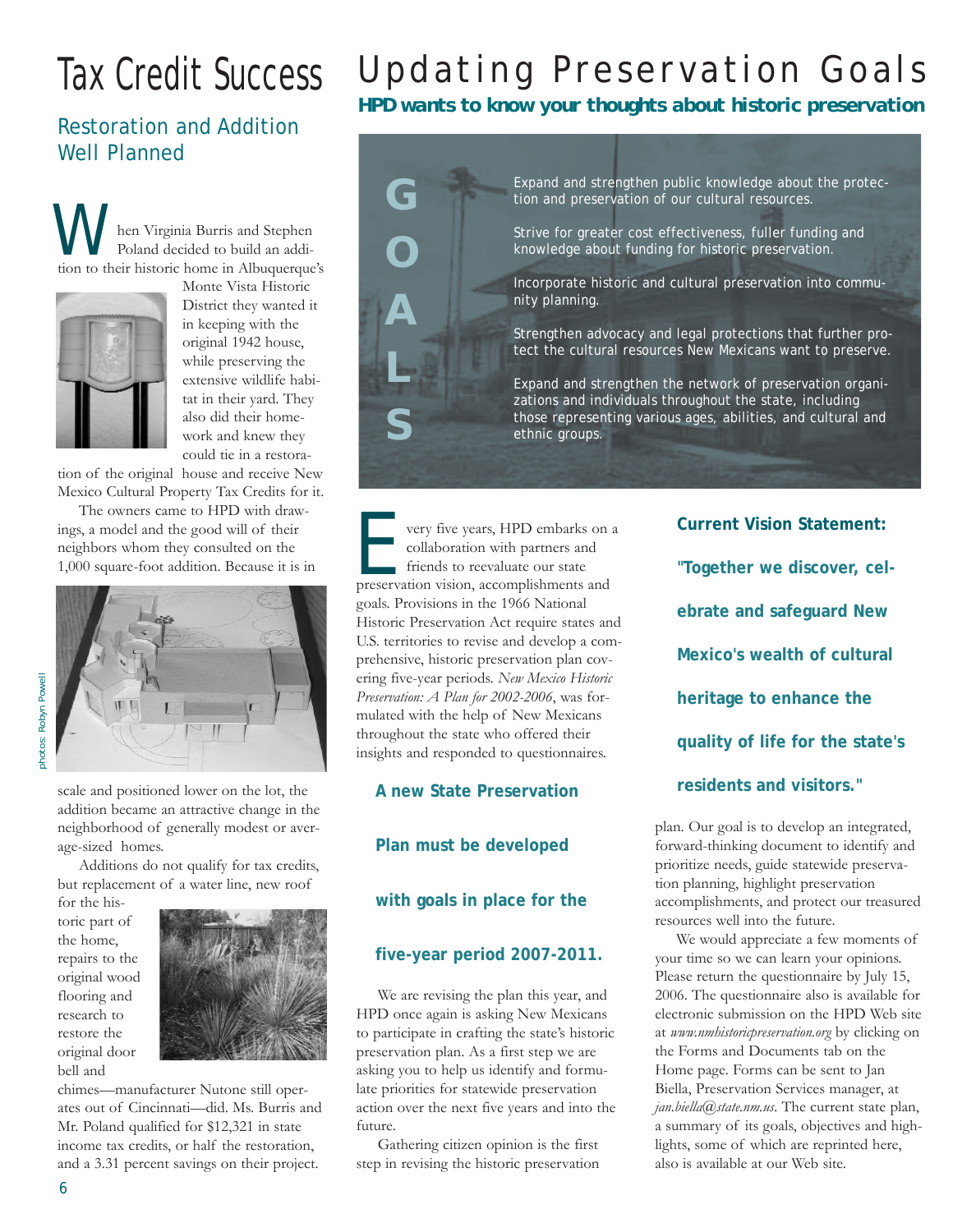# Tax Credit Success

# Restoration and Addition Well Planned

hen Virginia Burris and Stephen Poland decided to build an addi-**Manufacturies** here virginia Burris and Stephen Poland decided to build an addition to their historic home in Albuquerque's



Monte Vista Historic District they wanted it in keeping with the original 1942 house, while preserving the extensive wildlife habitat in their yard. They also did their homework and knew they could tie in a restora-

tion of the original house and receive New Mexico Cultural Property Tax Credits for it.

The owners came to HPD with drawings, a model and the good will of their neighbors whom they consulted on the 1,000 square-foot addition. Because it is in



photos: Robyn Powell photos: Robyn Powell

> scale and positioned lower on the lot, the addition became an attractive change in the neighborhood of generally modest or average-sized homes.

> Additions do not qualify for tax credits, but replacement of a water line, new roof

for the historic part of the home, repairs to the original wood flooring and research to restore the original door bell and



chimes—manufacturer Nutone still operates out of Cincinnati—did. Ms. Burris and Mr. Poland qualified for \$12,321 in state income tax credits, or half the restoration, and a 3.31 percent savings on their project.

# Updating Preservation Goals

*HPD wants to know your thoughts about historic preservation*

**G O A L S** Expand and strengthen public knowledge about the protection and preservation of our cultural resources. Strive for greater cost effectiveness, fuller funding and knowledge about funding for historic preservation. Incorporate historic and cultural preservation into community planning. Strengthen advocacy and legal protections that further protect the cultural resources New Mexicans want to preserve. Expand and strengthen the network of preservation organizations and individuals throughout the state, including those representing various ages, abilities, and cultural and ethnic groups.

very five years, HPD embarks on a collaboration with partners and friends to reevaluate our state very five years, HPD embarks on collaboration with partners and friends to reevaluate our state preservation vision, accomplishments and goals. Provisions in the 1966 National Historic Preservation Act require states and U.S. territories to revise and develop a comprehensive, historic preservation plan covering five-year periods. *New Mexico Historic Preservation: A Plan for 2002-2006*, was formulated with the help of New Mexicans throughout the state who offered their insights and responded to questionnaires.

### **A new State Preservation**

**Plan must be developed**

### **with goals in place for the**

### **five-year period 2007-2011.**

We are revising the plan this year, and HPD once again is asking New Mexicans to participate in crafting the state's historic preservation plan. As a first step we are asking you to help us identify and formulate priorities for statewide preservation action over the next five years and into the future.

Gathering citizen opinion is the first step in revising the historic preservation **Current Vision Statement: "Together we discover, celebrate and safeguard New Mexico's wealth of cultural heritage to enhance the quality of life for the state's residents and visitors."**

plan. Our goal is to develop an integrated, forward-thinking document to identify and prioritize needs, guide statewide preservation planning, highlight preservation accomplishments, and protect our treasured resources well into the future.

We would appreciate a few moments of your time so we can learn your opinions. Please return the questionnaire by July 15, 2006. The questionnaire also is available for electronic submission on the HPD Web site at *www.nmhistoricpreservation.org* by clicking on the Forms and Documents tab on the Home page. Forms can be sent to Jan Biella, Preservation Services manager, at *jan.biella@state.nm.us*. The current state plan, a summary of its goals, objectives and highlights, some of which are reprinted here, also is available at our Web site.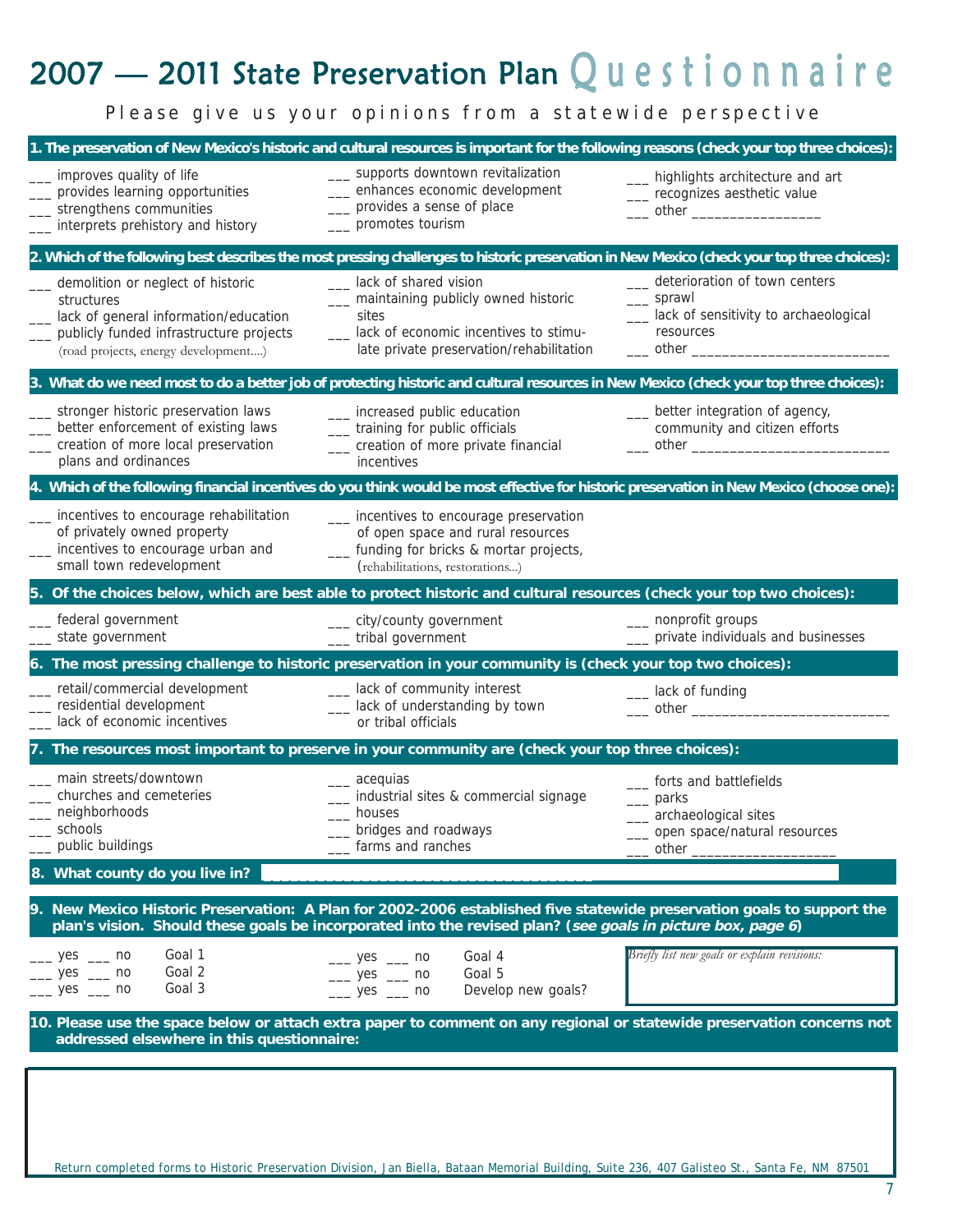# 2007 — 2011 State Preservation Plan  $\mathsf Q$  <code>uestionnaire</code>

*Please give us your opinions from a statewide perspective*

|                                                                                                                                                                            | 1. The preservation of New Mexico's historic and cultural resources is important for the following reasons (check your top three choices):                                                                                            |                                                                                                                                                               |
|----------------------------------------------------------------------------------------------------------------------------------------------------------------------------|---------------------------------------------------------------------------------------------------------------------------------------------------------------------------------------------------------------------------------------|---------------------------------------------------------------------------------------------------------------------------------------------------------------|
| improves quality of life<br>provides learning opportunities<br>strengthens communities<br>interprets prehistory and history                                                | __ supports downtown revitalization<br>___ enhances economic development<br>__ provides a sense of place<br>__ promotes tourism                                                                                                       | __ highlights architecture and art<br>__ recognizes aesthetic value<br>____ other _____________________                                                       |
|                                                                                                                                                                            | 2. Which of the following best describes the most pressing challenges to historic preservation in New Mexico (check your top three choices):                                                                                          |                                                                                                                                                               |
| demolition or neglect of historic<br>structures<br>lack of general information/education<br>publicly funded infrastructure projects<br>(road projects, energy development) | __ lack of shared vision<br>__ maintaining publicly owned historic<br>sites<br>__ lack of economic incentives to stimu-<br>late private preservation/rehabilitation                                                                   | __ deterioration of town centers<br>____ sprawl<br>__ lack of sensitivity to archaeological<br>resources<br>$\rule{1em}{0.15mm}$ other $\rule{1.5mm}{0.15mm}$ |
|                                                                                                                                                                            | 3. What do we need most to do a better job of protecting historic and cultural resources in New Mexico (check your top three choices):                                                                                                |                                                                                                                                                               |
| stronger historic preservation laws<br>better enforcement of existing laws<br>creation of more local preservation<br>plans and ordinances                                  | __ increased public education<br>__ training for public officials<br>__ creation of more private financial<br>incentives                                                                                                              | __ better integration of agency,<br>community and citizen efforts                                                                                             |
|                                                                                                                                                                            | 4. Which of the following financial incentives do you think would be most effective for historic preservation in New Mexico (choose one):                                                                                             |                                                                                                                                                               |
| incentives to encourage rehabilitation<br>of privately owned property<br>incentives to encourage urban and<br>small town redevelopment                                     | __ incentives to encourage preservation<br>of open space and rural resources<br>__ funding for bricks & mortar projects,<br>(rehabilitations, restorations)                                                                           |                                                                                                                                                               |
|                                                                                                                                                                            | 5. Of the choices below, which are best able to protect historic and cultural resources (check your top two choices):                                                                                                                 |                                                                                                                                                               |
| federal government<br>state government                                                                                                                                     | ___ city/county government<br>___ tribal government                                                                                                                                                                                   | __ nonprofit groups<br>__ private individuals and businesses                                                                                                  |
|                                                                                                                                                                            | 6. The most pressing challenge to historic preservation in your community is (check your top two choices):                                                                                                                            |                                                                                                                                                               |
| retail/commercial development<br>residential development<br>lack of economic incentives                                                                                    | __ lack of community interest<br>__ lack of understanding by town<br>or tribal officials                                                                                                                                              | __ lack of funding<br>____ other _________________                                                                                                            |
|                                                                                                                                                                            | 7. The resources most important to preserve in your community are (check your top three choices):                                                                                                                                     |                                                                                                                                                               |
| main streets/downtown<br>churches and cemeteries<br>neighborhoods<br>schools<br>public buildings                                                                           | ___ acequias<br>_ industrial sites & commercial signage<br>houses<br>bridges and roadways<br>farms and ranches                                                                                                                        | __ forts and battlefields<br>$\equiv$ parks<br>__ archaeological sites<br>_ open space/natural resources<br>other                                             |
| 8. What county do you live in?                                                                                                                                             |                                                                                                                                                                                                                                       |                                                                                                                                                               |
|                                                                                                                                                                            | 9. New Mexico Historic Preservation: A Plan for 2002-2006 established five statewide preservation goals to support the<br>plan's vision. Should these goals be incorporated into the revised plan? (see goals in picture box, page 6) |                                                                                                                                                               |
| Goal 1<br>$\frac{\ }{2}$ yes $\frac{\ }{2}$ no<br>Goal 2<br>$yes$ no<br>$\frac{\ }{2}$ yes $\frac{\ }{2}$ no<br>Goal 3                                                     | Goal 4<br>$-$ yes $-$ no<br>Goal 5<br>$-$ yes $-$ no<br>$-$ yes $-$ no<br>Develop new goals?                                                                                                                                          | Briefly list new goals or explain revisions:                                                                                                                  |
| addressed elsewhere in this questionnaire:                                                                                                                                 | 10. Please use the space below or attach extra paper to comment on any regional or statewide preservation concerns not                                                                                                                |                                                                                                                                                               |
|                                                                                                                                                                            |                                                                                                                                                                                                                                       |                                                                                                                                                               |
|                                                                                                                                                                            | Return completed forms to Historic Preservation Division, Jan Biella, Bataan Memorial Building, Suite 236, 407 Galisteo St., Santa Fe, NM 87501                                                                                       |                                                                                                                                                               |